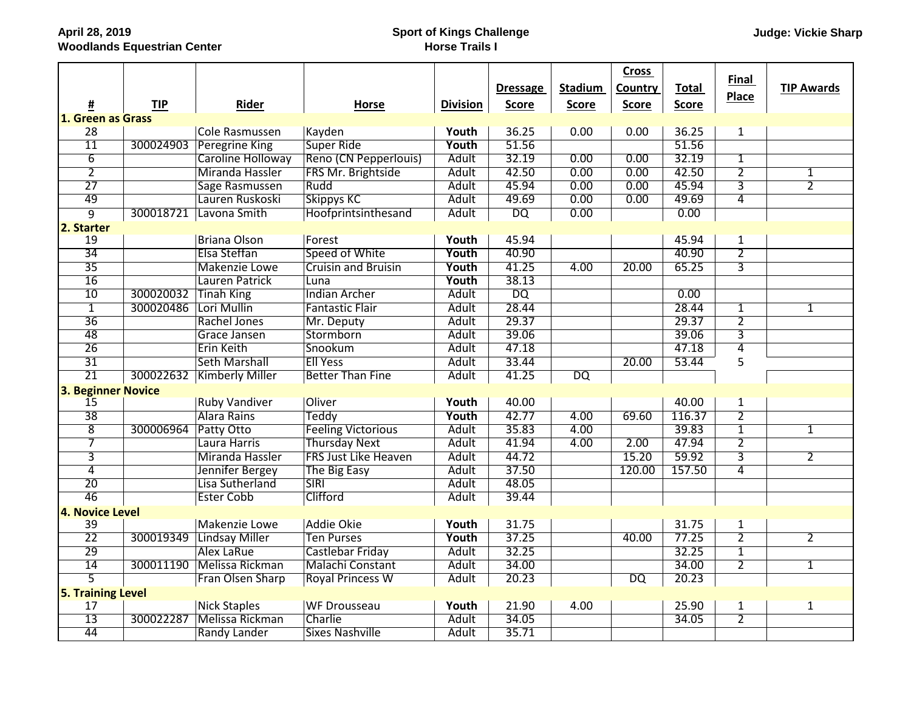## **Sport of Kings Challenge Horse Trails I**

|                           |            |                        |                             |                 |                 |                | <b>Cross</b>    |              | Final          |                   |
|---------------------------|------------|------------------------|-----------------------------|-----------------|-----------------|----------------|-----------------|--------------|----------------|-------------------|
|                           |            |                        |                             |                 | <b>Dressage</b> | <b>Stadium</b> | Country         | <b>Total</b> | <b>Place</b>   | <b>TIP Awards</b> |
| <u>#</u>                  | <b>TIP</b> | Rider                  | <b>Horse</b>                | <b>Division</b> | <b>Score</b>    | <b>Score</b>   | <b>Score</b>    | <b>Score</b> |                |                   |
| 1. Green as Grass         |            |                        |                             |                 |                 |                |                 |              |                |                   |
| 28                        |            | <b>Cole Rasmussen</b>  | Kayden                      | Youth           | 36.25           | 0.00           | 0.00            | 36.25        | $\mathbf{1}$   |                   |
| $\overline{11}$           | 300024903  | Peregrine King         | Super Ride                  | Youth           | 51.56           |                |                 | 51.56        |                |                   |
| $\overline{6}$            |            | Caroline Holloway      | Reno (CN Pepperlouis)       | Adult           | 32.19           | 0.00           | 0.00            | 32.19        | $\overline{1}$ |                   |
| $\overline{2}$            |            | <b>Miranda Hassler</b> | FRS Mr. Brightside          | <b>Adult</b>    | 42.50           | 0.00           | 0.00            | 42.50        | $\overline{2}$ | $\mathbf{1}$      |
| 27                        |            | Sage Rasmussen         | Rudd                        | Adult           | 45.94           | 0.00           | 0.00            | 45.94        | $\overline{3}$ | $\overline{2}$    |
| 49                        |            | Lauren Ruskoski        | <b>Skippys KC</b>           | Adult           | 49.69           | 0.00           | 0.00            | 49.69        | $\overline{4}$ |                   |
| 9                         | 300018721  | Lavona Smith           | Hoofprintsinthesand         | <b>Adult</b>    | $\overline{DQ}$ | 0.00           |                 | 0.00         |                |                   |
| 2. Starter                |            |                        |                             |                 |                 |                |                 |              |                |                   |
| 19                        |            | <b>Briana Olson</b>    | Forest                      | Youth           | 45.94           |                |                 | 45.94        | $\mathbf{1}$   |                   |
| $\overline{34}$           |            | Elsa Steffan           | Speed of White              | Youth           | 40.90           |                |                 | 40.90        | $\overline{2}$ |                   |
| 35                        |            | <b>Makenzie Lowe</b>   | <b>Cruisin and Bruisin</b>  | Youth           | 41.25           | 4.00           | 20.00           | 65.25        | $\overline{3}$ |                   |
| 16                        |            | Lauren Patrick         | Luna                        | Youth           | 38.13           |                |                 |              |                |                   |
| 10                        | 300020032  | Tinah King             | <b>Indian Archer</b>        | Adult           | <b>DQ</b>       |                |                 | 0.00         |                |                   |
| $\overline{1}$            | 300020486  | Lori Mullin            | <b>Fantastic Flair</b>      | Adult           | 28.44           |                |                 | 28.44        | $\overline{1}$ | 1                 |
| $\overline{36}$           |            | Rachel Jones           | Mr. Deputy                  | <b>Adult</b>    | 29.37           |                |                 | 29.37        | $\overline{2}$ |                   |
| 48                        |            | Grace Jansen           | Stormborn                   | Adult           | 39.06           |                |                 | 39.06        | $\overline{3}$ |                   |
| $\overline{26}$           |            | <b>Erin Keith</b>      | Snookum                     | Adult           | 47.18           |                |                 | 47.18        | $\overline{4}$ |                   |
| $\overline{31}$           |            | <b>Seth Marshall</b>   | <b>Ell Yess</b>             | <b>Adult</b>    | 33.44           |                | 20.00           | 53.44        | 5              |                   |
| $\overline{21}$           | 300022632  | <b>Kimberly Miller</b> | <b>Better Than Fine</b>     | Adult           | 41.25           | <b>DQ</b>      |                 |              |                |                   |
| <b>3. Beginner Novice</b> |            |                        |                             |                 |                 |                |                 |              |                |                   |
| 15                        |            | <b>Ruby Vandiver</b>   | Oliver                      | Youth           | 40.00           |                |                 | 40.00        | $\overline{1}$ |                   |
| $\overline{38}$           |            | Alara Rains            | Teddy                       | Youth           | 42.77           | 4.00           | 69.60           | 116.37       | $\overline{2}$ |                   |
| $\overline{8}$            | 300006964  | Patty Otto             | <b>Feeling Victorious</b>   | <b>Adult</b>    | 35.83           | 4.00           |                 | 39.83        | $\overline{1}$ | $\mathbf{1}$      |
| $\overline{7}$            |            | Laura Harris           | <b>Thursday Next</b>        | <b>Adult</b>    | 41.94           | 4.00           | 2.00            | 47.94        | $\overline{2}$ |                   |
| $\overline{3}$            |            | Miranda Hassler        | <b>FRS Just Like Heaven</b> | Adult           | 44.72           |                | 15.20           | 59.92        | $\overline{3}$ | $\overline{2}$    |
| $\overline{4}$            |            | Jennifer Bergey        | The Big Easy                | <b>Adult</b>    | 37.50           |                | 120.00          | 157.50       | $\overline{4}$ |                   |
| 20                        |            | Lisa Sutherland        | <b>SIRI</b>                 | Adult           | 48.05           |                |                 |              |                |                   |
| 46                        |            | <b>Ester Cobb</b>      | Clifford                    | Adult           | 39.44           |                |                 |              |                |                   |
| 4. Novice Level           |            |                        |                             |                 |                 |                |                 |              |                |                   |
| 39                        |            | <b>Makenzie Lowe</b>   | Addie Okie                  | Youth           | 31.75           |                |                 | 31.75        | $\overline{1}$ |                   |
| $\overline{22}$           | 300019349  | Lindsay Miller         | <b>Ten Purses</b>           | Youth           | 37.25           |                | 40.00           | 77.25        | $\overline{2}$ | $\overline{2}$    |
| 29                        |            | <b>Alex LaRue</b>      | Castlebar Friday            | Adult           | 32.25           |                |                 | 32.25        | $\overline{1}$ |                   |
| 14                        | 300011190  | Melissa Rickman        | <b>Malachi Constant</b>     | Adult           | 34.00           |                |                 | 34.00        | $\overline{2}$ | 1                 |
| $\overline{5}$            |            | Fran Olsen Sharp       | <b>Royal Princess W</b>     | <b>Adult</b>    | 20.23           |                | $\overline{DQ}$ | 20.23        |                |                   |
| <b>5. Training Level</b>  |            |                        |                             |                 |                 |                |                 |              |                |                   |
| 17                        |            | Nick Staples           | <b>WF Drousseau</b>         | Youth           | 21.90           | 4.00           |                 | 25.90        | $\overline{1}$ | $\overline{1}$    |
| $\overline{13}$           | 300022287  | Melissa Rickman        | Charlie                     | <b>Adult</b>    | 34.05           |                |                 | 34.05        | $\overline{2}$ |                   |
| 44                        |            | Randy Lander           | <b>Sixes Nashville</b>      | Adult           | 35.71           |                |                 |              |                |                   |